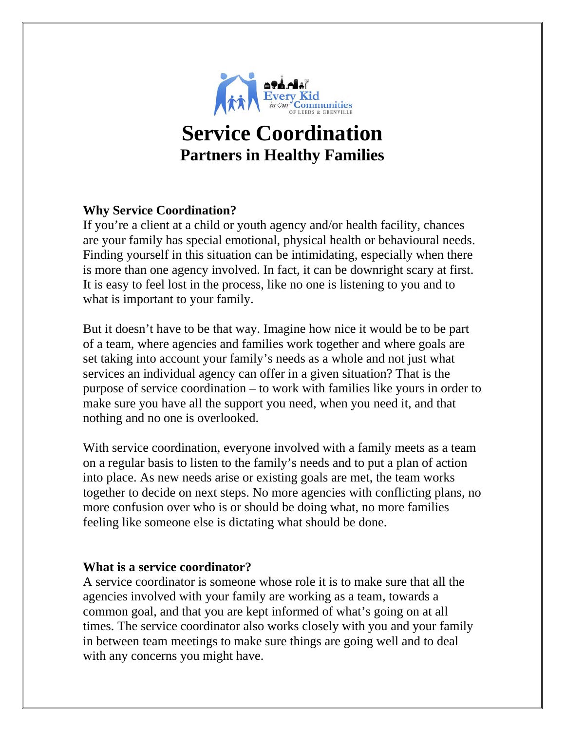

# **Service Coordination Partners in Healthy Families**

# **Why Service Coordination?**

If you're a client at a child or youth agency and/or health facility, chances are your family has special emotional, physical health or behavioural needs. Finding yourself in this situation can be intimidating, especially when there is more than one agency involved. In fact, it can be downright scary at first. It is easy to feel lost in the process, like no one is listening to you and to what is important to your family.

But it doesn't have to be that way. Imagine how nice it would be to be part of a team, where agencies and families work together and where goals are set taking into account your family's needs as a whole and not just what services an individual agency can offer in a given situation? That is the purpose of service coordination – to work with families like yours in order to make sure you have all the support you need, when you need it, and that nothing and no one is overlooked.

With service coordination, everyone involved with a family meets as a team on a regular basis to listen to the family's needs and to put a plan of action into place. As new needs arise or existing goals are met, the team works together to decide on next steps. No more agencies with conflicting plans, no more confusion over who is or should be doing what, no more families feeling like someone else is dictating what should be done.

## **What is a service coordinator?**

A service coordinator is someone whose role it is to make sure that all the agencies involved with your family are working as a team, towards a common goal, and that you are kept informed of what's going on at all times. The service coordinator also works closely with you and your family in between team meetings to make sure things are going well and to deal with any concerns you might have.